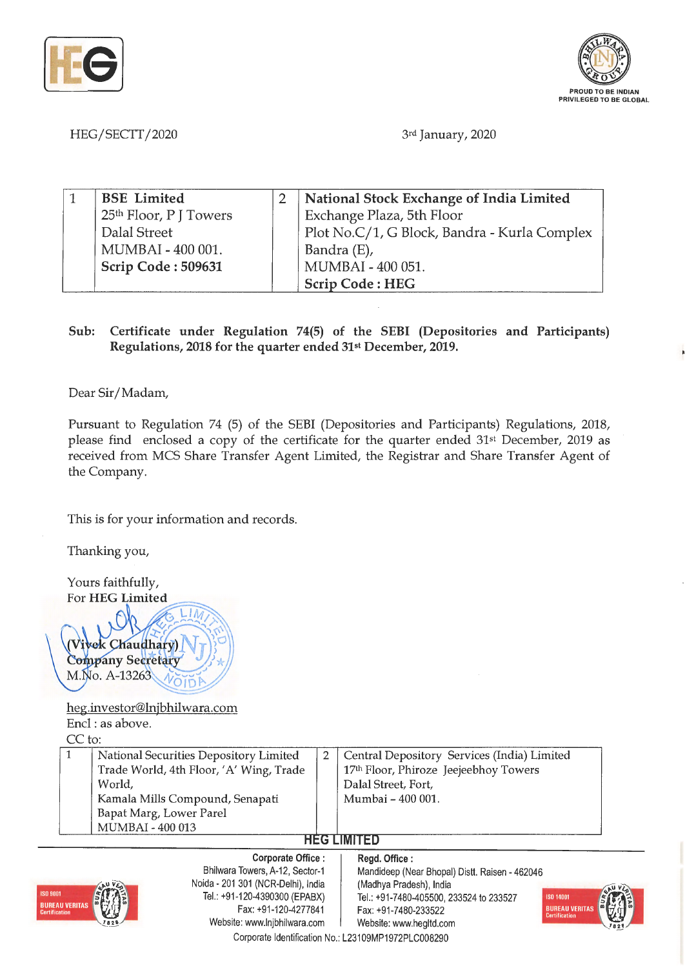



HEG/SECTT/2020 3rd January, 2020

| <b>BSE</b> Limited                 | National Stock Exchange of India Limited     |
|------------------------------------|----------------------------------------------|
| 25 <sup>th</sup> Floor, P J Towers | Exchange Plaza, 5th Floor                    |
| <sup>1</sup> Dalal Street          | Plot No.C/1, G Block, Bandra - Kurla Complex |
| MUMBAI - 400 001.                  | Bandra (E),                                  |
| Scrip Code: 509631                 | MUMBAI - 400 051.                            |
|                                    | <b>Scrip Code: HEG</b>                       |

## **Sub: Certificate under Regulation 74(5) of the SEBI (Depositories and Participants) Regulations, 2018 for the quarter ended 31st December, 2019.**

Dear Sir/ Madam,

Pursuant to Regulation 74 (5) of the SEBI (Depositories and Participants) Regulations, 2018, please find enclosed a copy of the certificate for the quarter ended 31st December, 2019 as received from MCS Share Transfer Agent Limited, the Registrar and Share Transfer Agent of the Company.

This is for your information and records.

Thanking you,

Yours faithfully, For **HEG** Limited

Vivek Chaudhary) **Company Secretary** M.No. A-13263

heg.investor@lnjbhilwara.com Encl : as above.

CC to:

| National Securities Depository Limited  | Central Depository Services (India) Limited |
|-----------------------------------------|---------------------------------------------|
| Trade World, 4th Floor, 'A' Wing, Trade | 17th Floor, Phiroze Jeejeebhoy Towers       |
| World.                                  | Dalal Street, Fort,                         |
| Kamala Mills Compound, Senapati         | Mumbai - 400 001.                           |
| Bapat Marg, Lower Parel                 |                                             |
| MUMBAI - 400 013                        |                                             |

## **HEG LIMITED**



**Corporate Office** : Bhilwara Towers, A-12, Sector-1 Noida - 201 301 (NCR-Delhi), India Tel.: +91 -120-4390300 (EPABX) Fax: +91-120-4277841 Website: www.lnjbhilwara.com | Website: www.hegltd.com

**Regd. Office** : Mandideep (Near Bhopal) Distt. Raisen - 462046 (Madhya Pradesh), India Tel.: +91 -7480-405500, 233524 to 233527 Fax: +91 -7480-233522



Corporate Identification No.: L23109MP1972PLC008290